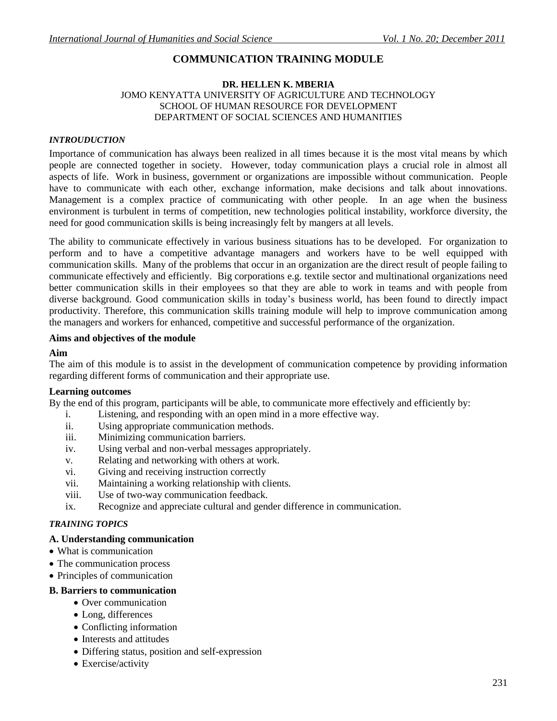# **COMMUNICATION TRAINING MODULE**

#### **DR. HELLEN K. MBERIA** JOMO KENYATTA UNIVERSITY OF AGRICULTURE AND TECHNOLOGY SCHOOL OF HUMAN RESOURCE FOR DEVELOPMENT DEPARTMENT OF SOCIAL SCIENCES AND HUMANITIES

#### *INTROUDUCTION*

Importance of communication has always been realized in all times because it is the most vital means by which people are connected together in society. However, today communication plays a crucial role in almost all aspects of life. Work in business, government or organizations are impossible without communication. People have to communicate with each other, exchange information, make decisions and talk about innovations. Management is a complex practice of communicating with other people. In an age when the business environment is turbulent in terms of competition, new technologies political instability, workforce diversity, the need for good communication skills is being increasingly felt by mangers at all levels.

The ability to communicate effectively in various business situations has to be developed. For organization to perform and to have a competitive advantage managers and workers have to be well equipped with communication skills. Many of the problems that occur in an organization are the direct result of people failing to communicate effectively and efficiently. Big corporations e.g. textile sector and multinational organizations need better communication skills in their employees so that they are able to work in teams and with people from diverse background. Good communication skills in today"s business world, has been found to directly impact productivity. Therefore, this communication skills training module will help to improve communication among the managers and workers for enhanced, competitive and successful performance of the organization.

#### **Aims and objectives of the module**

#### **Aim**

The aim of this module is to assist in the development of communication competence by providing information regarding different forms of communication and their appropriate use.

#### **Learning outcomes**

By the end of this program, participants will be able, to communicate more effectively and efficiently by:

- i. Listening, and responding with an open mind in a more effective way.
- ii. Using appropriate communication methods.
- iii. Minimizing communication barriers.
- iv. Using verbal and non-verbal messages appropriately.
- v. Relating and networking with others at work.
- vi. Giving and receiving instruction correctly
- vii. Maintaining a working relationship with clients.
- viii. Use of two-way communication feedback.
- ix. Recognize and appreciate cultural and gender difference in communication.

#### *TRAINING TOPICS*

#### **A. Understanding communication**

- What is communication
- The communication process
- Principles of communication

#### **B. Barriers to communication**

- Over communication
- Long, differences
- Conflicting information
- Interests and attitudes
- Differing status, position and self-expression
- Exercise/activity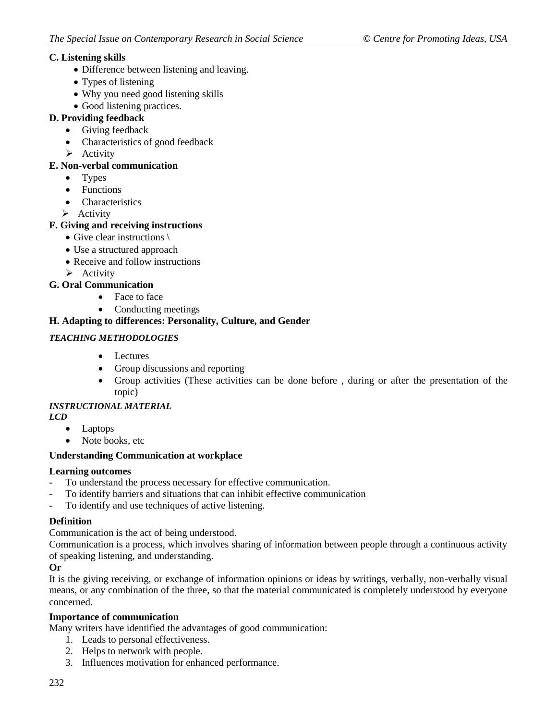# **C. Listening skills**

- Difference between listening and leaving.
- Types of listening
- Why you need good listening skills
- Good listening practices.

# **D. Providing feedback**

- Giving feedback
- Characteristics of good feedback
- $\triangleright$  Activity

# **E. Non-verbal communication**

- Types
- Functions
- Characteristics
- $\triangleright$  Activity

# **F. Giving and receiving instructions**

- Give clear instructions \
- Use a structured approach
- Receive and follow instructions
- $\triangleright$  Activity

# **G. Oral Communication**

- Face to face
- Conducting meetings

# **H. Adapting to differences: Personality, Culture, and Gender**

# *TEACHING METHODOLOGIES*

- Lectures
- Group discussions and reporting
- Group activities (These activities can be done before , during or after the presentation of the topic)

## *INSTRUCTIONAL MATERIAL*

- *LCD*
	- Laptops
	- Note books, etc

## **Understanding Communication at workplace**

## **Learning outcomes**

- To understand the process necessary for effective communication.
- To identify barriers and situations that can inhibit effective communication
- To identify and use techniques of active listening.

## **Definition**

Communication is the act of being understood.

Communication is a process, which involves sharing of information between people through a continuous activity of speaking listening, and understanding.

## **Or**

It is the giving receiving, or exchange of information opinions or ideas by writings, verbally, non-verbally visual means, or any combination of the three, so that the material communicated is completely understood by everyone concerned.

## **Importance of communication**

Many writers have identified the advantages of good communication:

- 1. Leads to personal effectiveness.
- 2. Helps to network with people.
- 3. Influences motivation for enhanced performance.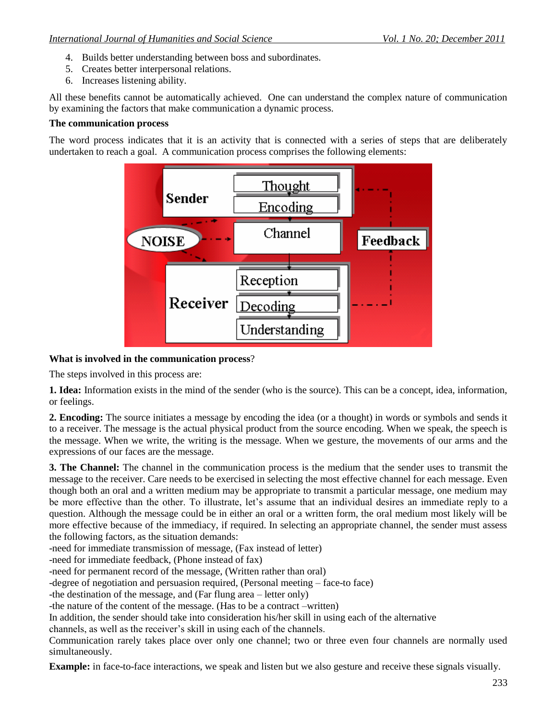- 4. Builds better understanding between boss and subordinates.
- 5. Creates better interpersonal relations.
- 6. Increases listening ability.

All these benefits cannot be automatically achieved. One can understand the complex nature of communication by examining the factors that make communication a dynamic process.

### **The communication process**

The word process indicates that it is an activity that is connected with a series of steps that are deliberately undertaken to reach a goal. A communication process comprises the following elements:



## **What is involved in the communication process**?

The steps involved in this process are:

**1. Idea:** Information exists in the mind of the sender (who is the source). This can be a concept, idea, information, or feelings.

**2. Encoding:** The source initiates a message by encoding the idea (or a thought) in words or symbols and sends it to a receiver. The message is the actual physical product from the source encoding. When we speak, the speech is the message. When we write, the writing is the message. When we gesture, the movements of our arms and the expressions of our faces are the message.

**3. The Channel:** The channel in the communication process is the medium that the sender uses to transmit the message to the receiver. Care needs to be exercised in selecting the most effective channel for each message. Even though both an oral and a written medium may be appropriate to transmit a particular message, one medium may be more effective than the other. To illustrate, let's assume that an individual desires an immediate reply to a question. Although the message could be in either an oral or a written form, the oral medium most likely will be more effective because of the immediacy, if required. In selecting an appropriate channel, the sender must assess the following factors, as the situation demands:

-need for immediate transmission of message, (Fax instead of letter)

-need for immediate feedback, (Phone instead of fax)

-need for permanent record of the message, (Written rather than oral)

-degree of negotiation and persuasion required, (Personal meeting – face-to face)

-the destination of the message, and (Far flung area – letter only)

-the nature of the content of the message. (Has to be a contract –written)

In addition, the sender should take into consideration his/her skill in using each of the alternative

channels, as well as the receiver"s skill in using each of the channels.

Communication rarely takes place over only one channel; two or three even four channels are normally used simultaneously.

**Example:** in face-to-face interactions, we speak and listen but we also gesture and receive these signals visually.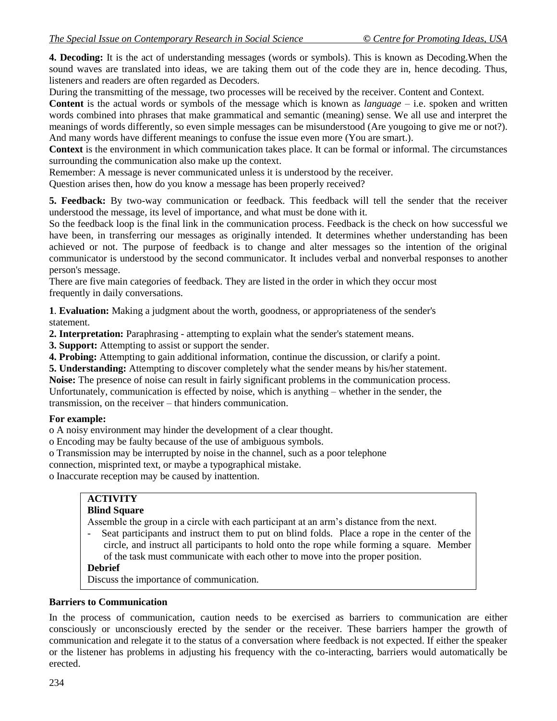**4. Decoding:** It is the act of understanding messages (words or symbols). This is known as Decoding.When the sound waves are translated into ideas, we are taking them out of the code they are in, hence decoding. Thus, listeners and readers are often regarded as Decoders.

During the transmitting of the message, two processes will be received by the receiver. Content and Context.

**Content** is the actual words or symbols of the message which is known as *language* – i.e. spoken and written words combined into phrases that make grammatical and semantic (meaning) sense. We all use and interpret the meanings of words differently, so even simple messages can be misunderstood (Are yougoing to give me or not?). And many words have different meanings to confuse the issue even more (You are smart.).

**Context** is the environment in which communication takes place. It can be formal or informal. The circumstances surrounding the communication also make up the context.

Remember: A message is never communicated unless it is understood by the receiver.

Question arises then, how do you know a message has been properly received?

**5. Feedback:** By two-way communication or feedback. This feedback will tell the sender that the receiver understood the message, its level of importance, and what must be done with it.

So the feedback loop is the final link in the communication process. Feedback is the check on how successful we have been, in transferring our messages as originally intended. It determines whether understanding has been achieved or not. The purpose of feedback is to change and alter messages so the intention of the original communicator is understood by the second communicator. It includes verbal and nonverbal responses to another person's message.

There are five main categories of feedback. They are listed in the order in which they occur most frequently in daily conversations.

**1**. **Evaluation:** Making a judgment about the worth, goodness, or appropriateness of the sender's statement.

**2. Interpretation:** Paraphrasing - attempting to explain what the sender's statement means.

**3. Support:** Attempting to assist or support the sender.

**4. Probing:** Attempting to gain additional information, continue the discussion, or clarify a point.

**5. Understanding:** Attempting to discover completely what the sender means by his/her statement.

**Noise:** The presence of noise can result in fairly significant problems in the communication process.

Unfortunately, communication is effected by noise, which is anything – whether in the sender, the transmission, on the receiver – that hinders communication.

## **For example:**

o A noisy environment may hinder the development of a clear thought.

- o Encoding may be faulty because of the use of ambiguous symbols.
- o Transmission may be interrupted by noise in the channel, such as a poor telephone

connection, misprinted text, or maybe a typographical mistake.

o Inaccurate reception may be caused by inattention.

# **ACTIVITY**

### **Blind Square**

Assemble the group in a circle with each participant at an arm"s distance from the next.

- Seat participants and instruct them to put on blind folds. Place a rope in the center of the circle, and instruct all participants to hold onto the rope while forming a square. Member of the task must communicate with each other to move into the proper position.

## **Debrief**

Discuss the importance of communication.

## **Barriers to Communication**

In the process of communication, caution needs to be exercised as barriers to communication are either consciously or unconsciously erected by the sender or the receiver. These barriers hamper the growth of communication and relegate it to the status of a conversation where feedback is not expected. If either the speaker or the listener has problems in adjusting his frequency with the co-interacting, barriers would automatically be erected.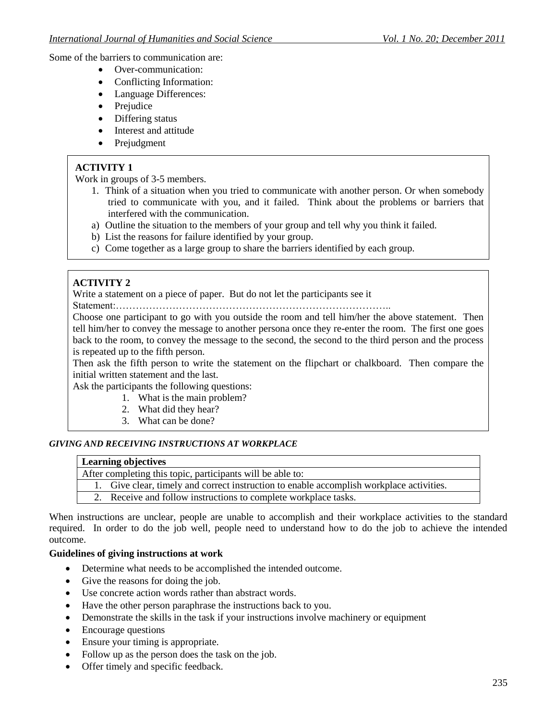Some of the barriers to communication are:

- Over-communication:
- Conflicting Information:
- Language Differences:
- Prejudice
- Differing status
- Interest and attitude
- Prejudgment

# **ACTIVITY 1**

Work in groups of 3-5 members.

- 1. Think of a situation when you tried to communicate with another person. Or when somebody tried to communicate with you, and it failed. Think about the problems or barriers that interfered with the communication.
- a) Outline the situation to the members of your group and tell why you think it failed.
- b) List the reasons for failure identified by your group.
- c) Come together as a large group to share the barriers identified by each group.

# **ACTIVITY 2**

Write a statement on a piece of paper. But do not let the participants see it

Statement:………………………………………………………………………..

Choose one participant to go with you outside the room and tell him/her the above statement. Then tell him/her to convey the message to another persona once they re-enter the room. The first one goes back to the room, to convey the message to the second, the second to the third person and the process is repeated up to the fifth person.

Then ask the fifth person to write the statement on the flipchart or chalkboard. Then compare the initial written statement and the last.

Ask the participants the following questions:

- 1. What is the main problem?
- 2. What did they hear?
- 3. What can be done?

#### *GIVING AND RECEIVING INSTRUCTIONS AT WORKPLACE*

### **Learning objectives**

After completing this topic, participants will be able to:

1. Give clear, timely and correct instruction to enable accomplish workplace activities.

2. Receive and follow instructions to complete workplace tasks.

When instructions are unclear, people are unable to accomplish and their workplace activities to the standard required. In order to do the job well, people need to understand how to do the job to achieve the intended outcome.

#### **Guidelines of giving instructions at work**

- Determine what needs to be accomplished the intended outcome.
- Give the reasons for doing the job.
- Use concrete action words rather than abstract words.
- Have the other person paraphrase the instructions back to you.
- Demonstrate the skills in the task if your instructions involve machinery or equipment
- Encourage questions
- Ensure your timing is appropriate.
- Follow up as the person does the task on the job.
- Offer timely and specific feedback.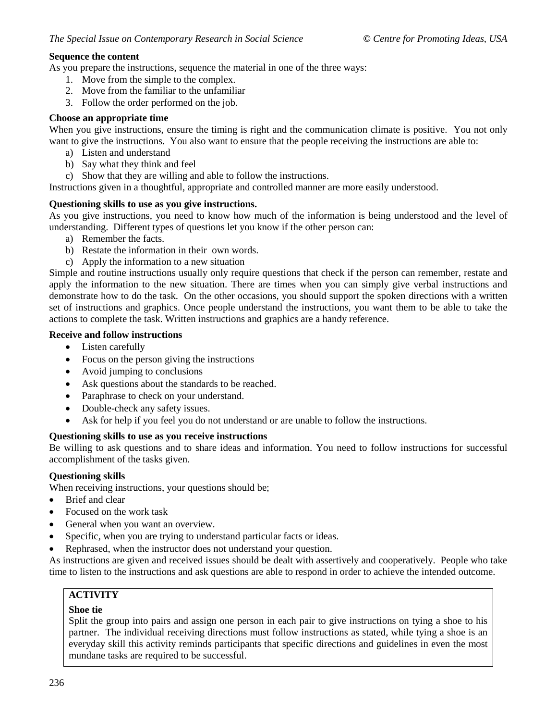### **Sequence the content**

As you prepare the instructions, sequence the material in one of the three ways:

- 1. Move from the simple to the complex.
- 2. Move from the familiar to the unfamiliar
- 3. Follow the order performed on the job.

### **Choose an appropriate time**

When you give instructions, ensure the timing is right and the communication climate is positive. You not only want to give the instructions. You also want to ensure that the people receiving the instructions are able to:

- a) Listen and understand
- b) Say what they think and feel
- c) Show that they are willing and able to follow the instructions.

Instructions given in a thoughtful, appropriate and controlled manner are more easily understood.

#### **Questioning skills to use as you give instructions.**

As you give instructions, you need to know how much of the information is being understood and the level of understanding. Different types of questions let you know if the other person can:

- a) Remember the facts.
- b) Restate the information in their own words.
- c) Apply the information to a new situation

Simple and routine instructions usually only require questions that check if the person can remember, restate and apply the information to the new situation. There are times when you can simply give verbal instructions and demonstrate how to do the task. On the other occasions, you should support the spoken directions with a written set of instructions and graphics. Once people understand the instructions, you want them to be able to take the actions to complete the task. Written instructions and graphics are a handy reference.

### **Receive and follow instructions**

- Listen carefully
- Focus on the person giving the instructions
- Avoid jumping to conclusions
- Ask questions about the standards to be reached.
- Paraphrase to check on your understand.
- Double-check any safety issues.
- Ask for help if you feel you do not understand or are unable to follow the instructions.

## **Questioning skills to use as you receive instructions**

Be willing to ask questions and to share ideas and information. You need to follow instructions for successful accomplishment of the tasks given.

## **Questioning skills**

When receiving instructions, your questions should be;

- Brief and clear
- Focused on the work task
- General when you want an overview.
- Specific, when you are trying to understand particular facts or ideas.
- Rephrased, when the instructor does not understand your question.

As instructions are given and received issues should be dealt with assertively and cooperatively. People who take time to listen to the instructions and ask questions are able to respond in order to achieve the intended outcome.

## **ACTIVITY**

#### **Shoe tie**

Split the group into pairs and assign one person in each pair to give instructions on tying a shoe to his partner. The individual receiving directions must follow instructions as stated, while tying a shoe is an everyday skill this activity reminds participants that specific directions and guidelines in even the most mundane tasks are required to be successful.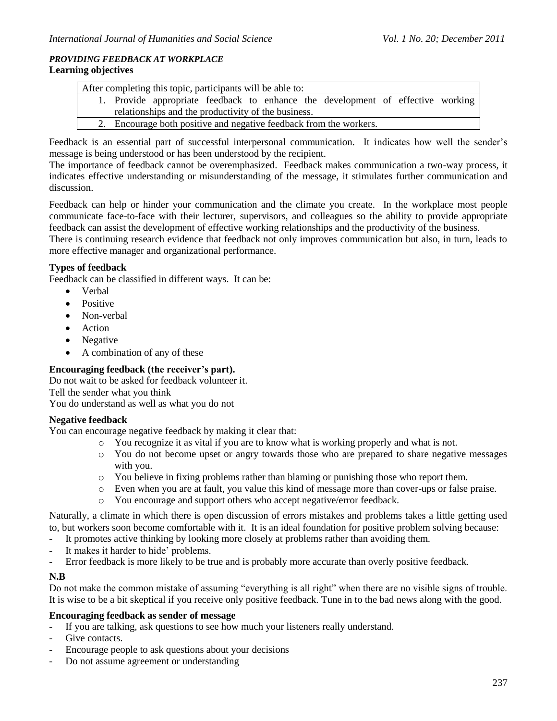## *PROVIDING FEEDBACK AT WORKPLACE* **Learning objectives**

| After completing this topic, participants will be able to: |                                                     |  |  |  |  |                                                                                 |  |  |
|------------------------------------------------------------|-----------------------------------------------------|--|--|--|--|---------------------------------------------------------------------------------|--|--|
|                                                            |                                                     |  |  |  |  | 1. Provide appropriate feedback to enhance the development of effective working |  |  |
|                                                            | relationships and the productivity of the business. |  |  |  |  |                                                                                 |  |  |
|                                                            |                                                     |  |  |  |  | 2. Encourage both positive and negative feedback from the workers.              |  |  |

Feedback is an essential part of successful interpersonal communication. It indicates how well the sender's message is being understood or has been understood by the recipient.

The importance of feedback cannot be overemphasized. Feedback makes communication a two-way process, it indicates effective understanding or misunderstanding of the message, it stimulates further communication and discussion.

Feedback can help or hinder your communication and the climate you create. In the workplace most people communicate face-to-face with their lecturer, supervisors, and colleagues so the ability to provide appropriate feedback can assist the development of effective working relationships and the productivity of the business.

There is continuing research evidence that feedback not only improves communication but also, in turn, leads to more effective manager and organizational performance.

# **Types of feedback**

Feedback can be classified in different ways. It can be:

- Verbal
- Positive
- Non-verbal
- Action
- Negative
- A combination of any of these

## **Encouraging feedback (the receiver's part).**

Do not wait to be asked for feedback volunteer it. Tell the sender what you think You do understand as well as what you do not

## **Negative feedback**

You can encourage negative feedback by making it clear that:

- o You recognize it as vital if you are to know what is working properly and what is not.
- o You do not become upset or angry towards those who are prepared to share negative messages with you.
- o You believe in fixing problems rather than blaming or punishing those who report them.
- o Even when you are at fault, you value this kind of message more than cover-ups or false praise.
- o You encourage and support others who accept negative/error feedback.

Naturally, a climate in which there is open discussion of errors mistakes and problems takes a little getting used to, but workers soon become comfortable with it. It is an ideal foundation for positive problem solving because:

- It promotes active thinking by looking more closely at problems rather than avoiding them.
- It makes it harder to hide' problems.
- Error feedback is more likely to be true and is probably more accurate than overly positive feedback.

## **N.B**

Do not make the common mistake of assuming "everything is all right" when there are no visible signs of trouble. It is wise to be a bit skeptical if you receive only positive feedback. Tune in to the bad news along with the good.

## **Encouraging feedback as sender of message**

- If you are talking, ask questions to see how much your listeners really understand.
- Give contacts.
- Encourage people to ask questions about your decisions
- Do not assume agreement or understanding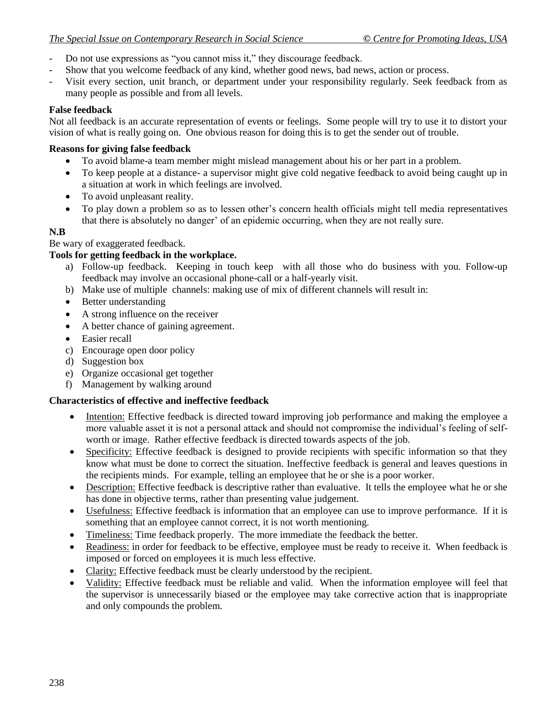- Do not use expressions as "you cannot miss it," they discourage feedback.
- Show that you welcome feedback of any kind, whether good news, bad news, action or process.
- Visit every section, unit branch, or department under your responsibility regularly. Seek feedback from as many people as possible and from all levels.

## **False feedback**

Not all feedback is an accurate representation of events or feelings. Some people will try to use it to distort your vision of what is really going on. One obvious reason for doing this is to get the sender out of trouble.

## **Reasons for giving false feedback**

- To avoid blame-a team member might mislead management about his or her part in a problem.
- To keep people at a distance- a supervisor might give cold negative feedback to avoid being caught up in a situation at work in which feelings are involved.
- To avoid unpleasant reality.
- To play down a problem so as to lessen other"s concern health officials might tell media representatives that there is absolutely no danger' of an epidemic occurring, when they are not really sure.

## **N.B**

Be wary of exaggerated feedback.

# **Tools for getting feedback in the workplace.**

- a) Follow-up feedback. Keeping in touch keep with all those who do business with you. Follow-up feedback may involve an occasional phone-call or a half-yearly visit.
- b) Make use of multiple channels: making use of mix of different channels will result in:
- Better understanding
- A strong influence on the receiver
- A better chance of gaining agreement.
- Easier recall
- c) Encourage open door policy
- d) Suggestion box
- e) Organize occasional get together
- f) Management by walking around

## **Characteristics of effective and ineffective feedback**

- Intention: Effective feedback is directed toward improving job performance and making the employee a more valuable asset it is not a personal attack and should not compromise the individual"s feeling of selfworth or image. Rather effective feedback is directed towards aspects of the job.
- Specificity: Effective feedback is designed to provide recipients with specific information so that they know what must be done to correct the situation. Ineffective feedback is general and leaves questions in the recipients minds. For example, telling an employee that he or she is a poor worker.
- Description: Effective feedback is descriptive rather than evaluative. It tells the employee what he or she has done in objective terms, rather than presenting value judgement.
- Usefulness: Effective feedback is information that an employee can use to improve performance. If it is something that an employee cannot correct, it is not worth mentioning.
- Timeliness: Time feedback properly. The more immediate the feedback the better.
- Readiness: in order for feedback to be effective, employee must be ready to receive it. When feedback is imposed or forced on employees it is much less effective.
- Clarity: Effective feedback must be clearly understood by the recipient.
- Validity: Effective feedback must be reliable and valid. When the information employee will feel that the supervisor is unnecessarily biased or the employee may take corrective action that is inappropriate and only compounds the problem.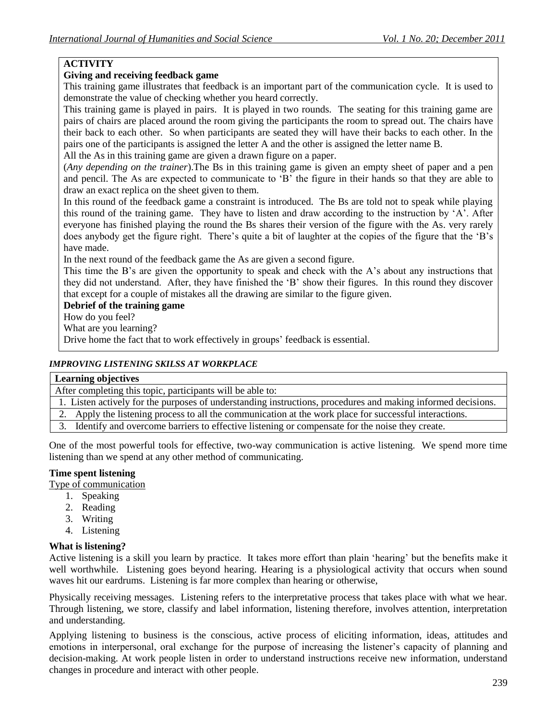## **ACTIVITY**

## **Giving and receiving feedback game**

This training game illustrates that feedback is an important part of the communication cycle. It is used to demonstrate the value of checking whether you heard correctly.

This training game is played in pairs. It is played in two rounds. The seating for this training game are pairs of chairs are placed around the room giving the participants the room to spread out. The chairs have their back to each other. So when participants are seated they will have their backs to each other. In the pairs one of the participants is assigned the letter A and the other is assigned the letter name B.

All the As in this training game are given a drawn figure on a paper.

(*Any depending on the trainer*).The Bs in this training game is given an empty sheet of paper and a pen and pencil. The As are expected to communicate to "B" the figure in their hands so that they are able to draw an exact replica on the sheet given to them.

In this round of the feedback game a constraint is introduced. The Bs are told not to speak while playing this round of the training game. They have to listen and draw according to the instruction by  $A'$ . After everyone has finished playing the round the Bs shares their version of the figure with the As. very rarely does anybody get the figure right. There"s quite a bit of laughter at the copies of the figure that the "B"s have made.

In the next round of the feedback game the As are given a second figure.

This time the B"s are given the opportunity to speak and check with the A"s about any instructions that they did not understand. After, they have finished the "B" show their figures. In this round they discover that except for a couple of mistakes all the drawing are similar to the figure given.

## **Debrief of the training game**

How do you feel?

What are you learning?

Drive home the fact that to work effectively in groups' feedback is essential.

### *IMPROVING LISTENING SKILSS AT WORKPLACE*

#### **Learning objectives**

After completing this topic, participants will be able to:

1. Listen actively for the purposes of understanding instructions, procedures and making informed decisions.

2. Apply the listening process to all the communication at the work place for successful interactions.

3. Identify and overcome barriers to effective listening or compensate for the noise they create.

One of the most powerful tools for effective, two-way communication is active listening. We spend more time listening than we spend at any other method of communicating.

### **Time spent listening**

Type of communication

- 1. Speaking
- 2. Reading
- 3. Writing
- 4. Listening

#### **What is listening?**

Active listening is a skill you learn by practice. It takes more effort than plain "hearing" but the benefits make it well worthwhile. Listening goes beyond hearing. Hearing is a physiological activity that occurs when sound waves hit our eardrums. Listening is far more complex than hearing or otherwise,

Physically receiving messages. Listening refers to the interpretative process that takes place with what we hear. Through listening, we store, classify and label information, listening therefore, involves attention, interpretation and understanding.

Applying listening to business is the conscious, active process of eliciting information, ideas, attitudes and emotions in interpersonal, oral exchange for the purpose of increasing the listener"s capacity of planning and decision-making. At work people listen in order to understand instructions receive new information, understand changes in procedure and interact with other people.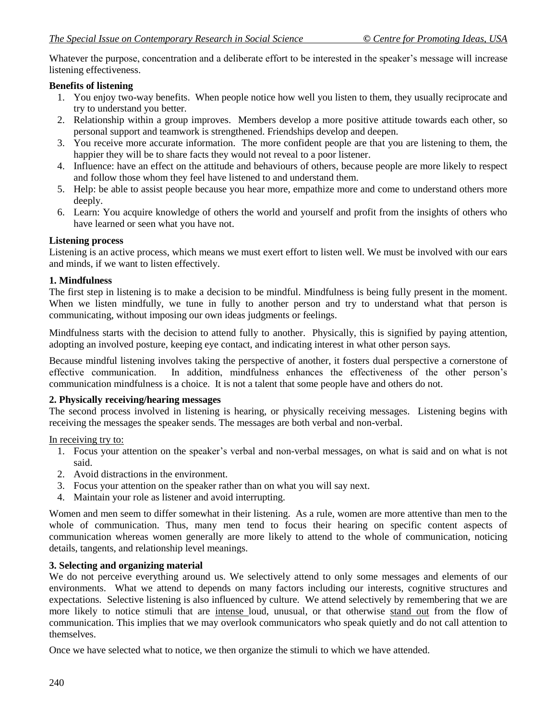Whatever the purpose, concentration and a deliberate effort to be interested in the speaker's message will increase listening effectiveness.

# **Benefits of listening**

- 1. You enjoy two-way benefits. When people notice how well you listen to them, they usually reciprocate and try to understand you better.
- 2. Relationship within a group improves. Members develop a more positive attitude towards each other, so personal support and teamwork is strengthened. Friendships develop and deepen.
- 3. You receive more accurate information. The more confident people are that you are listening to them, the happier they will be to share facts they would not reveal to a poor listener.
- 4. Influence: have an effect on the attitude and behaviours of others, because people are more likely to respect and follow those whom they feel have listened to and understand them.
- 5. Help: be able to assist people because you hear more, empathize more and come to understand others more deeply.
- 6. Learn: You acquire knowledge of others the world and yourself and profit from the insights of others who have learned or seen what you have not.

# **Listening process**

Listening is an active process, which means we must exert effort to listen well. We must be involved with our ears and minds, if we want to listen effectively.

## **1. Mindfulness**

The first step in listening is to make a decision to be mindful. Mindfulness is being fully present in the moment. When we listen mindfully, we tune in fully to another person and try to understand what that person is communicating, without imposing our own ideas judgments or feelings.

Mindfulness starts with the decision to attend fully to another. Physically, this is signified by paying attention, adopting an involved posture, keeping eye contact, and indicating interest in what other person says.

Because mindful listening involves taking the perspective of another, it fosters dual perspective a cornerstone of effective communication. In addition, mindfulness enhances the effectiveness of the other person"s communication mindfulness is a choice. It is not a talent that some people have and others do not.

## **2. Physically receiving/hearing messages**

The second process involved in listening is hearing, or physically receiving messages. Listening begins with receiving the messages the speaker sends. The messages are both verbal and non-verbal.

In receiving try to:

- 1. Focus your attention on the speaker"s verbal and non-verbal messages, on what is said and on what is not said.
- 2. Avoid distractions in the environment.
- 3. Focus your attention on the speaker rather than on what you will say next.
- 4. Maintain your role as listener and avoid interrupting.

Women and men seem to differ somewhat in their listening. As a rule, women are more attentive than men to the whole of communication. Thus, many men tend to focus their hearing on specific content aspects of communication whereas women generally are more likely to attend to the whole of communication, noticing details, tangents, and relationship level meanings.

# **3. Selecting and organizing material**

We do not perceive everything around us. We selectively attend to only some messages and elements of our environments. What we attend to depends on many factors including our interests, cognitive structures and expectations. Selective listening is also influenced by culture. We attend selectively by remembering that we are more likely to notice stimuli that are intense loud, unusual, or that otherwise stand out from the flow of communication. This implies that we may overlook communicators who speak quietly and do not call attention to themselves.

Once we have selected what to notice, we then organize the stimuli to which we have attended.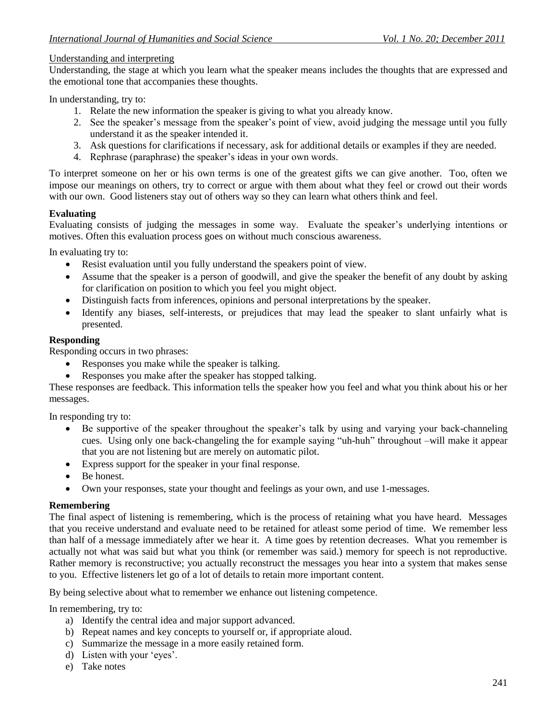#### Understanding and interpreting

Understanding, the stage at which you learn what the speaker means includes the thoughts that are expressed and the emotional tone that accompanies these thoughts.

In understanding, try to:

- 1. Relate the new information the speaker is giving to what you already know.
- 2. See the speaker"s message from the speaker"s point of view, avoid judging the message until you fully understand it as the speaker intended it.
- 3. Ask questions for clarifications if necessary, ask for additional details or examples if they are needed.
- 4. Rephrase (paraphrase) the speaker"s ideas in your own words.

To interpret someone on her or his own terms is one of the greatest gifts we can give another. Too, often we impose our meanings on others, try to correct or argue with them about what they feel or crowd out their words with our own. Good listeners stay out of others way so they can learn what others think and feel.

#### **Evaluating**

Evaluating consists of judging the messages in some way. Evaluate the speaker"s underlying intentions or motives. Often this evaluation process goes on without much conscious awareness.

In evaluating try to:

- Resist evaluation until you fully understand the speakers point of view.
- Assume that the speaker is a person of goodwill, and give the speaker the benefit of any doubt by asking for clarification on position to which you feel you might object.
- Distinguish facts from inferences, opinions and personal interpretations by the speaker.
- Identify any biases, self-interests, or prejudices that may lead the speaker to slant unfairly what is presented.

#### **Responding**

Responding occurs in two phrases:

- Responses you make while the speaker is talking.
- Responses you make after the speaker has stopped talking.

These responses are feedback. This information tells the speaker how you feel and what you think about his or her messages.

In responding try to:

- Be supportive of the speaker throughout the speaker"s talk by using and varying your back-channeling cues. Using only one back-changeling the for example saying "uh-huh" throughout –will make it appear that you are not listening but are merely on automatic pilot.
- Express support for the speaker in your final response.
- Be honest.
- Own your responses, state your thought and feelings as your own, and use 1-messages.

#### **Remembering**

The final aspect of listening is remembering, which is the process of retaining what you have heard. Messages that you receive understand and evaluate need to be retained for atleast some period of time. We remember less than half of a message immediately after we hear it. A time goes by retention decreases. What you remember is actually not what was said but what you think (or remember was said.) memory for speech is not reproductive. Rather memory is reconstructive; you actually reconstruct the messages you hear into a system that makes sense to you. Effective listeners let go of a lot of details to retain more important content.

By being selective about what to remember we enhance out listening competence.

In remembering, try to:

- a) Identify the central idea and major support advanced.
- b) Repeat names and key concepts to yourself or, if appropriate aloud.
- c) Summarize the message in a more easily retained form.
- d) Listen with your "eyes".
- e) Take notes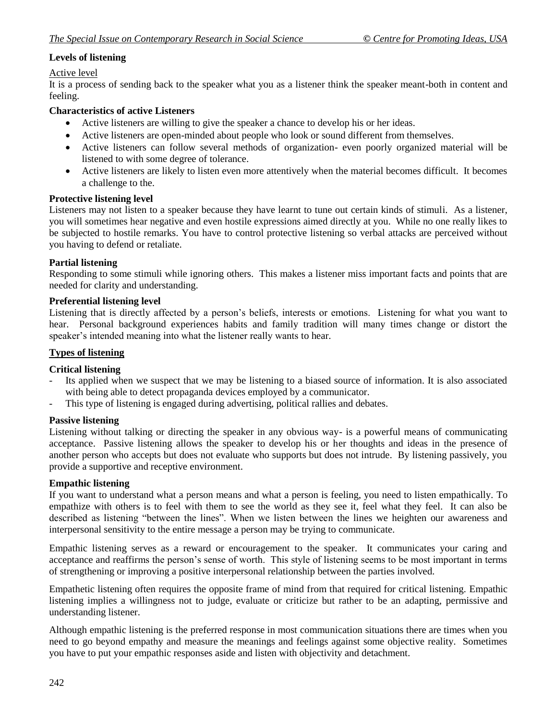# **Levels of listening**

### Active level

It is a process of sending back to the speaker what you as a listener think the speaker meant-both in content and feeling.

### **Characteristics of active Listeners**

- Active listeners are willing to give the speaker a chance to develop his or her ideas.
- Active listeners are open-minded about people who look or sound different from themselves.
- Active listeners can follow several methods of organization- even poorly organized material will be listened to with some degree of tolerance.
- Active listeners are likely to listen even more attentively when the material becomes difficult. It becomes a challenge to the.

### **Protective listening level**

Listeners may not listen to a speaker because they have learnt to tune out certain kinds of stimuli. As a listener, you will sometimes hear negative and even hostile expressions aimed directly at you. While no one really likes to be subjected to hostile remarks. You have to control protective listening so verbal attacks are perceived without you having to defend or retaliate.

## **Partial listening**

Responding to some stimuli while ignoring others. This makes a listener miss important facts and points that are needed for clarity and understanding.

### **Preferential listening level**

Listening that is directly affected by a person"s beliefs, interests or emotions. Listening for what you want to hear. Personal background experiences habits and family tradition will many times change or distort the speaker's intended meaning into what the listener really wants to hear.

### **Types of listening**

## **Critical listening**

- Its applied when we suspect that we may be listening to a biased source of information. It is also associated with being able to detect propaganda devices employed by a communicator.
- This type of listening is engaged during advertising, political rallies and debates.

#### **Passive listening**

Listening without talking or directing the speaker in any obvious way- is a powerful means of communicating acceptance. Passive listening allows the speaker to develop his or her thoughts and ideas in the presence of another person who accepts but does not evaluate who supports but does not intrude. By listening passively, you provide a supportive and receptive environment.

#### **Empathic listening**

If you want to understand what a person means and what a person is feeling, you need to listen empathically. To empathize with others is to feel with them to see the world as they see it, feel what they feel. It can also be described as listening "between the lines". When we listen between the lines we heighten our awareness and interpersonal sensitivity to the entire message a person may be trying to communicate.

Empathic listening serves as a reward or encouragement to the speaker. It communicates your caring and acceptance and reaffirms the person"s sense of worth. This style of listening seems to be most important in terms of strengthening or improving a positive interpersonal relationship between the parties involved.

Empathetic listening often requires the opposite frame of mind from that required for critical listening. Empathic listening implies a willingness not to judge, evaluate or criticize but rather to be an adapting, permissive and understanding listener.

Although empathic listening is the preferred response in most communication situations there are times when you need to go beyond empathy and measure the meanings and feelings against some objective reality. Sometimes you have to put your empathic responses aside and listen with objectivity and detachment.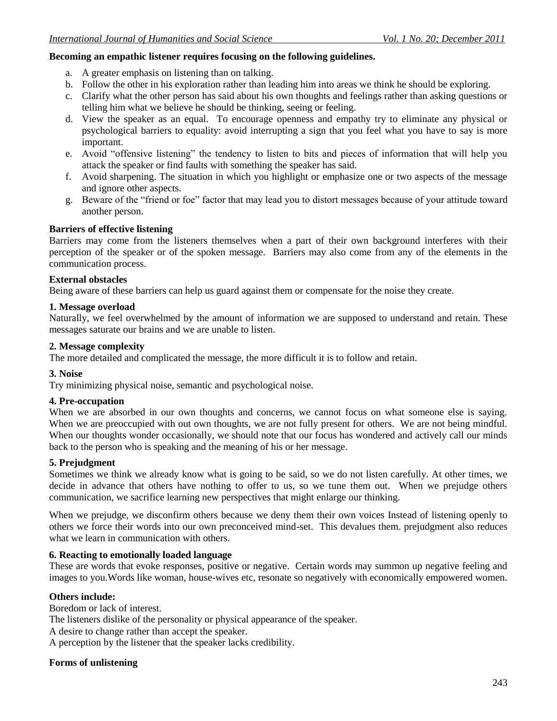#### **Becoming an empathic listener requires focusing on the following guidelines.**

- a. A greater emphasis on listening than on talking.
- b. Follow the other in his exploration rather than leading him into areas we think he should be exploring.
- c. Clarify what the other person has said about his own thoughts and feelings rather than asking questions or telling him what we believe he should be thinking, seeing or feeling.
- d. View the speaker as an equal. To encourage openness and empathy try to eliminate any physical or psychological barriers to equality: avoid interrupting a sign that you feel what you have to say is more important.
- e. Avoid "offensive listening" the tendency to listen to bits and pieces of information that will help you attack the speaker or find faults with something the speaker has said.
- f. Avoid sharpening. The situation in which you highlight or emphasize one or two aspects of the message and ignore other aspects.
- g. Beware of the "friend or foe" factor that may lead you to distort messages because of your attitude toward another person.

#### **Barriers of effective listening**

Barriers may come from the listeners themselves when a part of their own background interferes with their perception of the speaker or of the spoken message. Barriers may also come from any of the elements in the communication process.

#### **External obstacles**

Being aware of these barriers can help us guard against them or compensate for the noise they create.

#### **1. Message overload**

Naturally, we feel overwhelmed by the amount of information we are supposed to understand and retain. These messages saturate our brains and we are unable to listen.

#### **2. Message complexity**

The more detailed and complicated the message, the more difficult it is to follow and retain.

#### **3. Noise**

Try minimizing physical noise, semantic and psychological noise.

#### **4. Pre-occupation**

When we are absorbed in our own thoughts and concerns, we cannot focus on what someone else is saying. When we are preoccupied with out own thoughts, we are not fully present for others. We are not being mindful. When our thoughts wonder occasionally, we should note that our focus has wondered and actively call our minds back to the person who is speaking and the meaning of his or her message.

#### **5. Prejudgment**

Sometimes we think we already know what is going to be said, so we do not listen carefully. At other times, we decide in advance that others have nothing to offer to us, so we tune them out. When we prejudge others communication, we sacrifice learning new perspectives that might enlarge our thinking.

When we prejudge, we disconfirm others because we deny them their own voices Instead of listening openly to others we force their words into our own preconceived mind-set. This devalues them. prejudgment also reduces what we learn in communication with others.

### **6. Reacting to emotionally loaded language**

These are words that evoke responses, positive or negative. Certain words may summon up negative feeling and images to you.Words like woman, house-wives etc, resonate so negatively with economically empowered women.

#### **Others include:**

Boredom or lack of interest.

The listeners dislike of the personality or physical appearance of the speaker.

A desire to change rather than accept the speaker.

A perception by the listener that the speaker lacks credibility.

#### **Forms of unlistening**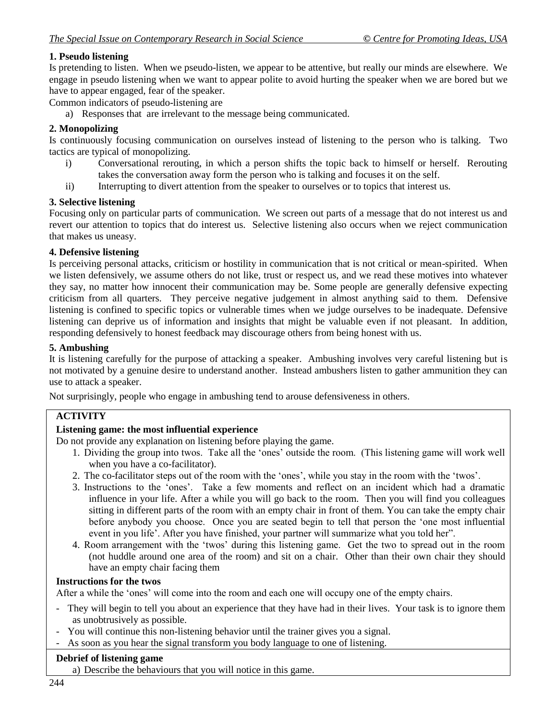# **1. Pseudo listening**

Is pretending to listen. When we pseudo-listen, we appear to be attentive, but really our minds are elsewhere. We engage in pseudo listening when we want to appear polite to avoid hurting the speaker when we are bored but we have to appear engaged, fear of the speaker.

Common indicators of pseudo-listening are

a) Responses that are irrelevant to the message being communicated.

## **2. Monopolizing**

Is continuously focusing communication on ourselves instead of listening to the person who is talking. Two tactics are typical of monopolizing.

- i) Conversational rerouting, in which a person shifts the topic back to himself or herself. Rerouting takes the conversation away form the person who is talking and focuses it on the self.
- ii) Interrupting to divert attention from the speaker to ourselves or to topics that interest us.

### **3. Selective listening**

Focusing only on particular parts of communication. We screen out parts of a message that do not interest us and revert our attention to topics that do interest us. Selective listening also occurs when we reject communication that makes us uneasy.

### **4. Defensive listening**

Is perceiving personal attacks, criticism or hostility in communication that is not critical or mean-spirited. When we listen defensively, we assume others do not like, trust or respect us, and we read these motives into whatever they say, no matter how innocent their communication may be. Some people are generally defensive expecting criticism from all quarters. They perceive negative judgement in almost anything said to them. Defensive listening is confined to specific topics or vulnerable times when we judge ourselves to be inadequate. Defensive listening can deprive us of information and insights that might be valuable even if not pleasant. In addition, responding defensively to honest feedback may discourage others from being honest with us.

### **5. Ambushing**

It is listening carefully for the purpose of attacking a speaker. Ambushing involves very careful listening but is not motivated by a genuine desire to understand another. Instead ambushers listen to gather ammunition they can use to attack a speaker.

Not surprisingly, people who engage in ambushing tend to arouse defensiveness in others.

# **ACTIVITY**

## **Listening game: the most influential experience**

Do not provide any explanation on listening before playing the game.

- 1. Dividing the group into twos. Take all the "ones" outside the room. (This listening game will work well when you have a co-facilitator).
- 2. The co-facilitator steps out of the room with the "ones", while you stay in the room with the "twos".
- 3. Instructions to the "ones". Take a few moments and reflect on an incident which had a dramatic influence in your life. After a while you will go back to the room. Then you will find you colleagues sitting in different parts of the room with an empty chair in front of them. You can take the empty chair before anybody you choose. Once you are seated begin to tell that person the "one most influential event in you life'. After you have finished, your partner will summarize what you told her".
- 4. Room arrangement with the "twos" during this listening game. Get the two to spread out in the room (not huddle around one area of the room) and sit on a chair. Other than their own chair they should have an empty chair facing them

## **Instructions for the twos**

After a while the "ones" will come into the room and each one will occupy one of the empty chairs.

- They will begin to tell you about an experience that they have had in their lives. Your task is to ignore them as unobtrusively as possible.
- You will continue this non-listening behavior until the trainer gives you a signal.
- As soon as you hear the signal transform you body language to one of listening.

#### **Debrief of listening game**

a) Describe the behaviours that you will notice in this game.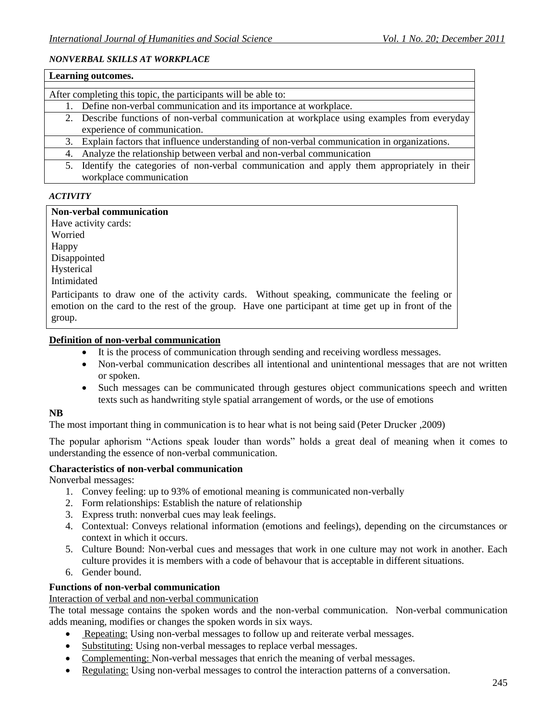#### *NONVERBAL SKILLS AT WORKPLACE*

| Learning outcomes.                                                                              |  |  |  |  |  |
|-------------------------------------------------------------------------------------------------|--|--|--|--|--|
|                                                                                                 |  |  |  |  |  |
| After completing this topic, the participants will be able to:                                  |  |  |  |  |  |
| 1. Define non-verbal communication and its importance at workplace.                             |  |  |  |  |  |
| 2. Describe functions of non-verbal communication at workplace using examples from everyday     |  |  |  |  |  |
| experience of communication.                                                                    |  |  |  |  |  |
| 3. Explain factors that influence understanding of non-verbal communication in organizations.   |  |  |  |  |  |
| 4. Analyze the relationship between verbal and non-verbal communication                         |  |  |  |  |  |
| Identify the categories of non-verbal communication and apply them appropriately in their<br>5. |  |  |  |  |  |
| workplace communication                                                                         |  |  |  |  |  |

### *ACTIVITY*

#### **Non-verbal communication**

Have activity cards: Worried Happy Disappointed Hysterical Intimidated Participants to draw one of the activity cards. Without speaking, communicate the feeling or emotion on the card to the rest of the group. Have one participant at time get up in front of the

group.

### **Definition of non-verbal communication**

- It is the process of communication through sending and receiving wordless messages.
- Non-verbal communication describes all intentional and unintentional messages that are not written or spoken.
- Such messages can be communicated through gestures object communications speech and written texts such as handwriting style spatial arrangement of words, or the use of emotions

#### **NB**

The most important thing in communication is to hear what is not being said (Peter Drucker ,2009)

The popular aphorism "Actions speak louder than words" holds a great deal of meaning when it comes to understanding the essence of non-verbal communication.

#### **Characteristics of non-verbal communication**

Nonverbal messages:

- 1. Convey feeling: up to 93% of emotional meaning is communicated non-verbally
- 2. Form relationships: Establish the nature of relationship
- 3. Express truth: nonverbal cues may leak feelings.
- 4. Contextual: Conveys relational information (emotions and feelings), depending on the circumstances or context in which it occurs.
- 5. Culture Bound: Non-verbal cues and messages that work in one culture may not work in another. Each culture provides it is members with a code of behavour that is acceptable in different situations.
- 6. Gender bound.

### **Functions of non-verbal communication**

Interaction of verbal and non-verbal communication

The total message contains the spoken words and the non-verbal communication. Non-verbal communication adds meaning, modifies or changes the spoken words in six ways.

- Repeating: Using non-verbal messages to follow up and reiterate verbal messages.
- Substituting: Using non-verbal messages to replace verbal messages.
- Complementing: Non-verbal messages that enrich the meaning of verbal messages.
- Regulating: Using non-verbal messages to control the interaction patterns of a conversation.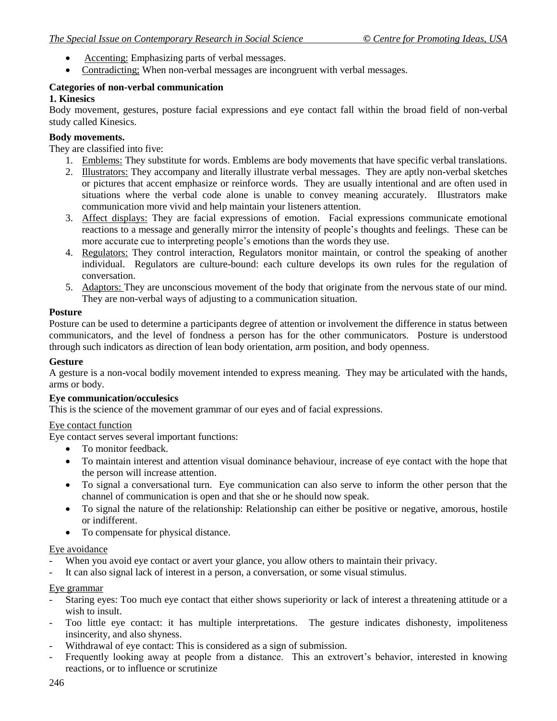- Accenting: Emphasizing parts of verbal messages.
- Contradicting; When non-verbal messages are incongruent with verbal messages.

# **Categories of non-verbal communication**

## **1. Kinesics**

Body movement, gestures, posture facial expressions and eye contact fall within the broad field of non-verbal study called Kinesics.

### **Body movements.**

They are classified into five:

- 1. Emblems: They substitute for words. Emblems are body movements that have specific verbal translations.
- 2. Illustrators: They accompany and literally illustrate verbal messages. They are aptly non-verbal sketches or pictures that accent emphasize or reinforce words. They are usually intentional and are often used in situations where the verbal code alone is unable to convey meaning accurately. Illustrators make communication more vivid and help maintain your listeners attention.
- 3. Affect displays: They are facial expressions of emotion. Facial expressions communicate emotional reactions to a message and generally mirror the intensity of people"s thoughts and feelings. These can be more accurate cue to interpreting people's emotions than the words they use.
- 4. Regulators: They control interaction, Regulators monitor maintain, or control the speaking of another individual. Regulators are culture-bound: each culture develops its own rules for the regulation of conversation.
- 5. Adaptors: They are unconscious movement of the body that originate from the nervous state of our mind. They are non-verbal ways of adjusting to a communication situation.

### **Posture**

Posture can be used to determine a participants degree of attention or involvement the difference in status between communicators, and the level of fondness a person has for the other communicators. Posture is understood through such indicators as direction of lean body orientation, arm position, and body openness.

### **Gesture**

A gesture is a non-vocal bodily movement intended to express meaning. They may be articulated with the hands, arms or body.

#### **Eye communication/occulesics**

This is the science of the movement grammar of our eyes and of facial expressions.

#### Eye contact function

Eye contact serves several important functions:

- To monitor feedback.
- To maintain interest and attention visual dominance behaviour, increase of eye contact with the hope that the person will increase attention.
- To signal a conversational turn. Eye communication can also serve to inform the other person that the channel of communication is open and that she or he should now speak.
- To signal the nature of the relationship: Relationship can either be positive or negative, amorous, hostile or indifferent.
- To compensate for physical distance.

## Eye avoidance

- When you avoid eye contact or avert your glance, you allow others to maintain their privacy.
- It can also signal lack of interest in a person, a conversation, or some visual stimulus.

### Eye grammar

- Staring eyes: Too much eye contact that either shows superiority or lack of interest a threatening attitude or a wish to insult.
- Too little eye contact: it has multiple interpretations. The gesture indicates dishonesty, impoliteness insincerity, and also shyness.
- Withdrawal of eye contact: This is considered as a sign of submission.
- Frequently looking away at people from a distance. This an extrovert's behavior, interested in knowing reactions, or to influence or scrutinize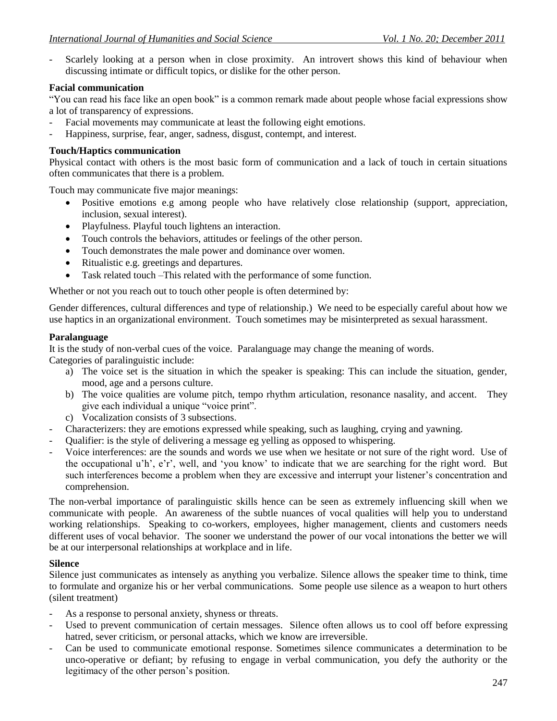- Scarlely looking at a person when in close proximity. An introvert shows this kind of behaviour when discussing intimate or difficult topics, or dislike for the other person.

### **Facial communication**

"You can read his face like an open book" is a common remark made about people whose facial expressions show a lot of transparency of expressions.

- Facial movements may communicate at least the following eight emotions.
- Happiness, surprise, fear, anger, sadness, disgust, contempt, and interest.

### **Touch/Haptics communication**

Physical contact with others is the most basic form of communication and a lack of touch in certain situations often communicates that there is a problem.

Touch may communicate five major meanings:

- Positive emotions e.g among people who have relatively close relationship (support, appreciation, inclusion, sexual interest).
- Playfulness. Playful touch lightens an interaction.
- Touch controls the behaviors, attitudes or feelings of the other person.
- Touch demonstrates the male power and dominance over women.
- Ritualistic e.g. greetings and departures.
- Task related touch –This related with the performance of some function.

Whether or not you reach out to touch other people is often determined by:

Gender differences, cultural differences and type of relationship.) We need to be especially careful about how we use haptics in an organizational environment. Touch sometimes may be misinterpreted as sexual harassment.

#### **Paralanguage**

It is the study of non-verbal cues of the voice. Paralanguage may change the meaning of words.

Categories of paralinguistic include:

- a) The voice set is the situation in which the speaker is speaking: This can include the situation, gender, mood, age and a persons culture.
- b) The voice qualities are volume pitch, tempo rhythm articulation, resonance nasality, and accent. They give each individual a unique "voice print".
- c) Vocalization consists of 3 subsections.
- Characterizers: they are emotions expressed while speaking, such as laughing, crying and yawning.
- Qualifier: is the style of delivering a message eg yelling as opposed to whispering.
- Voice interferences: are the sounds and words we use when we hesitate or not sure of the right word. Use of the occupational u'h', e'r', well, and 'you know' to indicate that we are searching for the right word. But such interferences become a problem when they are excessive and interrupt your listener"s concentration and comprehension.

The non-verbal importance of paralinguistic skills hence can be seen as extremely influencing skill when we communicate with people. An awareness of the subtle nuances of vocal qualities will help you to understand working relationships. Speaking to co-workers, employees, higher management, clients and customers needs different uses of vocal behavior. The sooner we understand the power of our vocal intonations the better we will be at our interpersonal relationships at workplace and in life.

#### **Silence**

Silence just communicates as intensely as anything you verbalize. Silence allows the speaker time to think, time to formulate and organize his or her verbal communications. Some people use silence as a weapon to hurt others (silent treatment)

- As a response to personal anxiety, shyness or threats.
- Used to prevent communication of certain messages. Silence often allows us to cool off before expressing hatred, sever criticism, or personal attacks, which we know are irreversible.
- Can be used to communicate emotional response. Sometimes silence communicates a determination to be unco-operative or defiant; by refusing to engage in verbal communication, you defy the authority or the legitimacy of the other person"s position.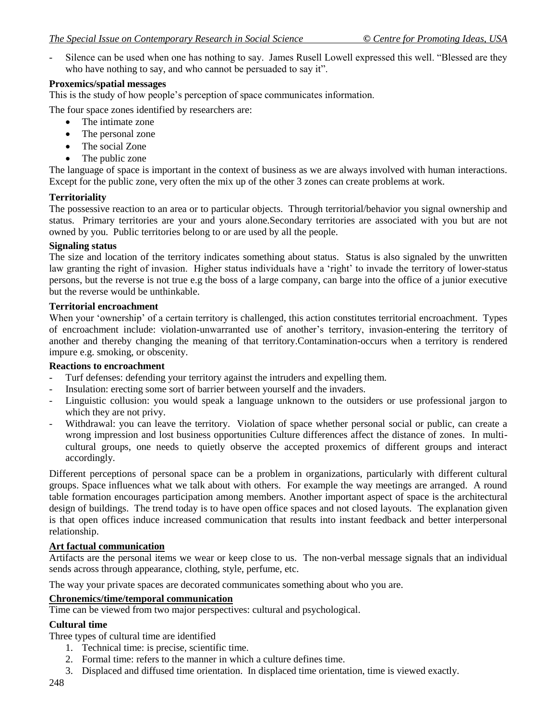- Silence can be used when one has nothing to say. James Rusell Lowell expressed this well. "Blessed are they who have nothing to say, and who cannot be persuaded to say it".

### **Proxemics/spatial messages**

This is the study of how people"s perception of space communicates information.

The four space zones identified by researchers are:

- The intimate zone
- The personal zone
- The social Zone
- The public zone

The language of space is important in the context of business as we are always involved with human interactions. Except for the public zone, very often the mix up of the other 3 zones can create problems at work.

## **Territoriality**

The possessive reaction to an area or to particular objects. Through territorial/behavior you signal ownership and status. Primary territories are your and yours alone.Secondary territories are associated with you but are not owned by you. Public territories belong to or are used by all the people.

### **Signaling status**

The size and location of the territory indicates something about status. Status is also signaled by the unwritten law granting the right of invasion. Higher status individuals have a 'right' to invade the territory of lower-status persons, but the reverse is not true e.g the boss of a large company, can barge into the office of a junior executive but the reverse would be unthinkable.

### **Territorial encroachment**

When your 'ownership' of a certain territory is challenged, this action constitutes territorial encroachment. Types of encroachment include: violation-unwarranted use of another"s territory, invasion-entering the territory of another and thereby changing the meaning of that territory.Contamination-occurs when a territory is rendered impure e.g. smoking, or obscenity.

### **Reactions to encroachment**

- Turf defenses: defending your territory against the intruders and expelling them.
- Insulation: erecting some sort of barrier between yourself and the invaders.
- Linguistic collusion: you would speak a language unknown to the outsiders or use professional jargon to which they are not privy.
- Withdrawal: you can leave the territory. Violation of space whether personal social or public, can create a wrong impression and lost business opportunities Culture differences affect the distance of zones. In multicultural groups, one needs to quietly observe the accepted proxemics of different groups and interact accordingly.

Different perceptions of personal space can be a problem in organizations, particularly with different cultural groups. Space influences what we talk about with others. For example the way meetings are arranged. A round table formation encourages participation among members. Another important aspect of space is the architectural design of buildings. The trend today is to have open office spaces and not closed layouts. The explanation given is that open offices induce increased communication that results into instant feedback and better interpersonal relationship.

## **Art factual communication**

Artifacts are the personal items we wear or keep close to us. The non-verbal message signals that an individual sends across through appearance, clothing, style, perfume, etc.

The way your private spaces are decorated communicates something about who you are.

## **Chronemics/time/temporal communication**

Time can be viewed from two major perspectives: cultural and psychological.

## **Cultural time**

Three types of cultural time are identified

- 1. Technical time: is precise, scientific time.
- 2. Formal time: refers to the manner in which a culture defines time.
- 3. Displaced and diffused time orientation. In displaced time orientation, time is viewed exactly.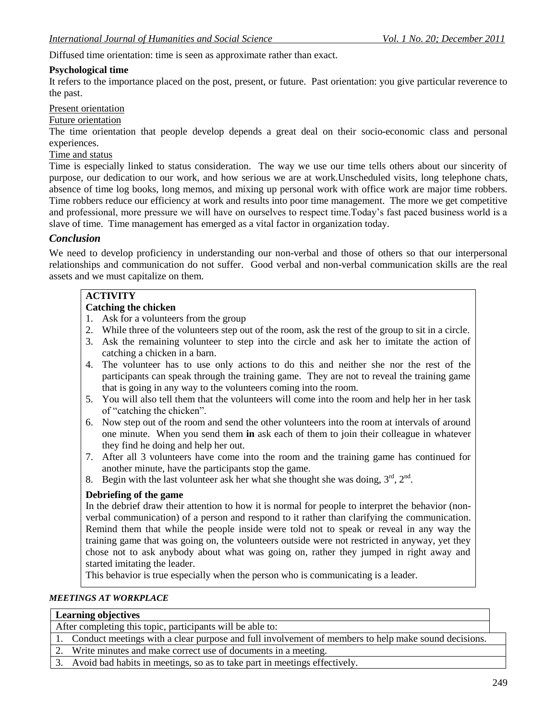Diffused time orientation: time is seen as approximate rather than exact.

#### **Psychological time**

It refers to the importance placed on the post, present, or future. Past orientation: you give particular reverence to the past.

### Present orientation

#### Future orientation

The time orientation that people develop depends a great deal on their socio-economic class and personal experiences.

#### Time and status

Time is especially linked to status consideration. The way we use our time tells others about our sincerity of purpose, our dedication to our work, and how serious we are at work.Unscheduled visits, long telephone chats, absence of time log books, long memos, and mixing up personal work with office work are major time robbers. Time robbers reduce our efficiency at work and results into poor time management. The more we get competitive and professional, more pressure we will have on ourselves to respect time.Today"s fast paced business world is a slave of time. Time management has emerged as a vital factor in organization today.

#### *Conclusion*

We need to develop proficiency in understanding our non-verbal and those of others so that our interpersonal relationships and communication do not suffer. Good verbal and non-verbal communication skills are the real assets and we must capitalize on them.

# **ACTIVITY**

# **Catching the chicken**

- 1. Ask for a volunteers from the group
- 2. While three of the volunteers step out of the room, ask the rest of the group to sit in a circle.
- 3. Ask the remaining volunteer to step into the circle and ask her to imitate the action of catching a chicken in a barn.
- 4. The volunteer has to use only actions to do this and neither she nor the rest of the participants can speak through the training game. They are not to reveal the training game that is going in any way to the volunteers coming into the room.
- 5. You will also tell them that the volunteers will come into the room and help her in her task of "catching the chicken".
- 6. Now step out of the room and send the other volunteers into the room at intervals of around one minute. When you send them **in** ask each of them to join their colleague in whatever they find he doing and help her out.
- 7. After all 3 volunteers have come into the room and the training game has continued for another minute, have the participants stop the game.
- 8. Begin with the last volunteer ask her what she thought she was doing,  $3<sup>rd</sup>$ ,  $2<sup>nd</sup>$ .

#### **Debriefing of the game**

In the debrief draw their attention to how it is normal for people to interpret the behavior (nonverbal communication) of a person and respond to it rather than clarifying the communication. Remind them that while the people inside were told not to speak or reveal in any way the training game that was going on, the volunteers outside were not restricted in anyway, yet they chose not to ask anybody about what was going on, rather they jumped in right away and started imitating the leader.

This behavior is true especially when the person who is communicating is a leader.

#### *MEETINGS AT WORKPLACE*

| <b>Learning objectives</b>                                                                             |  |
|--------------------------------------------------------------------------------------------------------|--|
| After completing this topic, participants will be able to:                                             |  |
| 1. Conduct meetings with a clear purpose and full involvement of members to help make sound decisions. |  |
| 2. Write minutes and make correct use of documents in a meeting.                                       |  |
| 3. Avoid bad habits in meetings, so as to take part in meetings effectively.                           |  |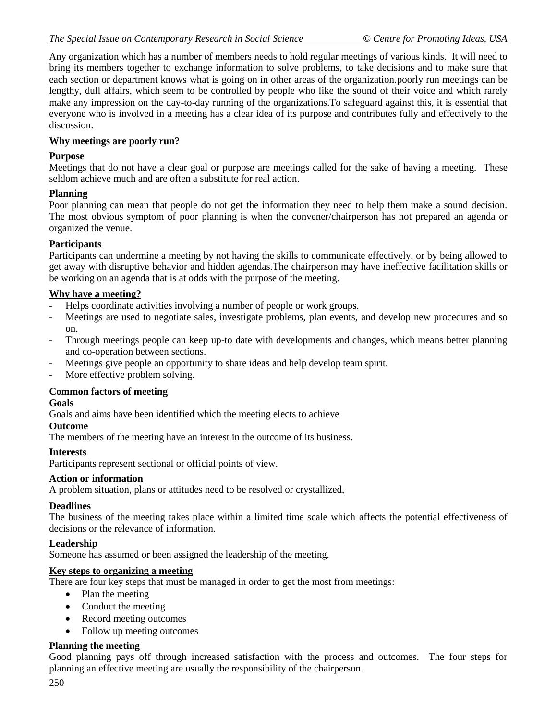Any organization which has a number of members needs to hold regular meetings of various kinds. It will need to bring its members together to exchange information to solve problems, to take decisions and to make sure that each section or department knows what is going on in other areas of the organization.poorly run meetings can be lengthy, dull affairs, which seem to be controlled by people who like the sound of their voice and which rarely make any impression on the day-to-day running of the organizations.To safeguard against this, it is essential that everyone who is involved in a meeting has a clear idea of its purpose and contributes fully and effectively to the discussion.

### **Why meetings are poorly run?**

### **Purpose**

Meetings that do not have a clear goal or purpose are meetings called for the sake of having a meeting. These seldom achieve much and are often a substitute for real action.

### **Planning**

Poor planning can mean that people do not get the information they need to help them make a sound decision. The most obvious symptom of poor planning is when the convener/chairperson has not prepared an agenda or organized the venue.

## **Participants**

Participants can undermine a meeting by not having the skills to communicate effectively, or by being allowed to get away with disruptive behavior and hidden agendas.The chairperson may have ineffective facilitation skills or be working on an agenda that is at odds with the purpose of the meeting.

### **Why have a meeting?**

- Helps coordinate activities involving a number of people or work groups.
- Meetings are used to negotiate sales, investigate problems, plan events, and develop new procedures and so on.
- Through meetings people can keep up-to date with developments and changes, which means better planning and co-operation between sections.
- Meetings give people an opportunity to share ideas and help develop team spirit.
- More effective problem solving.

#### **Common factors of meeting**

#### **Goals**

Goals and aims have been identified which the meeting elects to achieve

#### **Outcome**

The members of the meeting have an interest in the outcome of its business.

## **Interests**

Participants represent sectional or official points of view.

#### **Action or information**

A problem situation, plans or attitudes need to be resolved or crystallized,

#### **Deadlines**

The business of the meeting takes place within a limited time scale which affects the potential effectiveness of decisions or the relevance of information.

#### **Leadership**

Someone has assumed or been assigned the leadership of the meeting.

# **Key steps to organizing a meeting**

There are four key steps that must be managed in order to get the most from meetings:

- Plan the meeting
- Conduct the meeting
- Record meeting outcomes
- Follow up meeting outcomes

## **Planning the meeting**

Good planning pays off through increased satisfaction with the process and outcomes. The four steps for planning an effective meeting are usually the responsibility of the chairperson.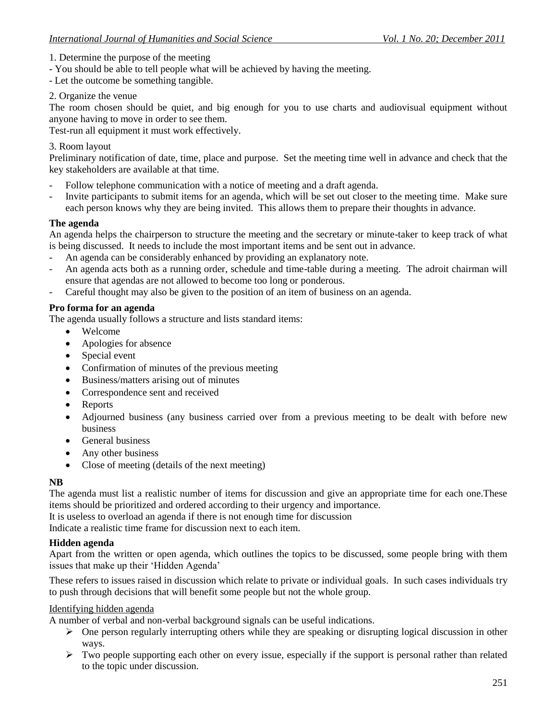- 1. Determine the purpose of the meeting
- You should be able to tell people what will be achieved by having the meeting.
- Let the outcome be something tangible.
- 2. Organize the venue

The room chosen should be quiet, and big enough for you to use charts and audiovisual equipment without anyone having to move in order to see them.

Test-run all equipment it must work effectively.

### 3. Room layout

Preliminary notification of date, time, place and purpose. Set the meeting time well in advance and check that the key stakeholders are available at that time.

- Follow telephone communication with a notice of meeting and a draft agenda.
- Invite participants to submit items for an agenda, which will be set out closer to the meeting time. Make sure each person knows why they are being invited. This allows them to prepare their thoughts in advance.

### **The agenda**

An agenda helps the chairperson to structure the meeting and the secretary or minute-taker to keep track of what is being discussed. It needs to include the most important items and be sent out in advance.

- An agenda can be considerably enhanced by providing an explanatory note.
- An agenda acts both as a running order, schedule and time-table during a meeting. The adroit chairman will ensure that agendas are not allowed to become too long or ponderous.
- Careful thought may also be given to the position of an item of business on an agenda.

## **Pro forma for an agenda**

The agenda usually follows a structure and lists standard items:

- Welcome
- Apologies for absence
- Special event
- Confirmation of minutes of the previous meeting
- Business/matters arising out of minutes
- Correspondence sent and received
- Reports
- Adjourned business (any business carried over from a previous meeting to be dealt with before new business
- **General business**
- Any other business
- Close of meeting (details of the next meeting)

#### **NB**

The agenda must list a realistic number of items for discussion and give an appropriate time for each one.These items should be prioritized and ordered according to their urgency and importance.

It is useless to overload an agenda if there is not enough time for discussion

Indicate a realistic time frame for discussion next to each item.

#### **Hidden agenda**

Apart from the written or open agenda, which outlines the topics to be discussed, some people bring with them issues that make up their 'Hidden Agenda'

These refers to issues raised in discussion which relate to private or individual goals. In such cases individuals try to push through decisions that will benefit some people but not the whole group.

#### Identifying hidden agenda

A number of verbal and non-verbal background signals can be useful indications.

- $\triangleright$  One person regularly interrupting others while they are speaking or disrupting logical discussion in other ways.
- $\triangleright$  Two people supporting each other on every issue, especially if the support is personal rather than related to the topic under discussion.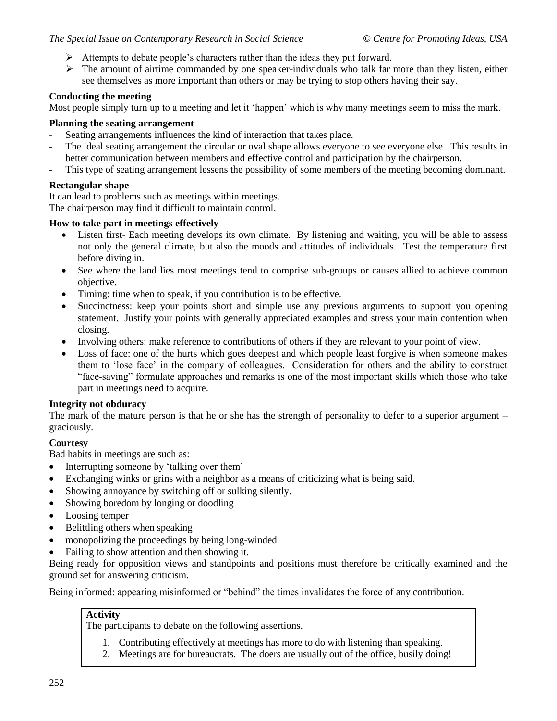- $\triangleright$  Attempts to debate people's characters rather than the ideas they put forward.
- $\triangleright$  The amount of airtime commanded by one speaker-individuals who talk far more than they listen, either see themselves as more important than others or may be trying to stop others having their say.

## **Conducting the meeting**

Most people simply turn up to a meeting and let it "happen" which is why many meetings seem to miss the mark.

### **Planning the seating arrangement**

- Seating arrangements influences the kind of interaction that takes place.
- The ideal seating arrangement the circular or oval shape allows everyone to see everyone else. This results in better communication between members and effective control and participation by the chairperson.
- This type of seating arrangement lessens the possibility of some members of the meeting becoming dominant.

## **Rectangular shape**

It can lead to problems such as meetings within meetings.

The chairperson may find it difficult to maintain control.

### **How to take part in meetings effectively**

- Listen first- Each meeting develops its own climate. By listening and waiting, you will be able to assess not only the general climate, but also the moods and attitudes of individuals. Test the temperature first before diving in.
- See where the land lies most meetings tend to comprise sub-groups or causes allied to achieve common objective.
- Timing: time when to speak, if you contribution is to be effective.
- Succinctness: keep your points short and simple use any previous arguments to support you opening statement. Justify your points with generally appreciated examples and stress your main contention when closing.
- Involving others: make reference to contributions of others if they are relevant to your point of view.
- Loss of face: one of the hurts which goes deepest and which people least forgive is when someone makes them to "lose face" in the company of colleagues. Consideration for others and the ability to construct "face-saving" formulate approaches and remarks is one of the most important skills which those who take part in meetings need to acquire.

## **Integrity not obduracy**

The mark of the mature person is that he or she has the strength of personality to defer to a superior argument – graciously.

## **Courtesy**

Bad habits in meetings are such as:

- Interrupting someone by 'talking over them'
- Exchanging winks or grins with a neighbor as a means of criticizing what is being said.
- Showing annoyance by switching off or sulking silently.
- Showing boredom by longing or doodling
- Loosing temper
- Belittling others when speaking
- monopolizing the proceedings by being long-winded
- Failing to show attention and then showing it.

Being ready for opposition views and standpoints and positions must therefore be critically examined and the ground set for answering criticism.

Being informed: appearing misinformed or "behind" the times invalidates the force of any contribution.

## **Activity**

The participants to debate on the following assertions.

- 1. Contributing effectively at meetings has more to do with listening than speaking.
- 2. Meetings are for bureaucrats. The doers are usually out of the office, busily doing!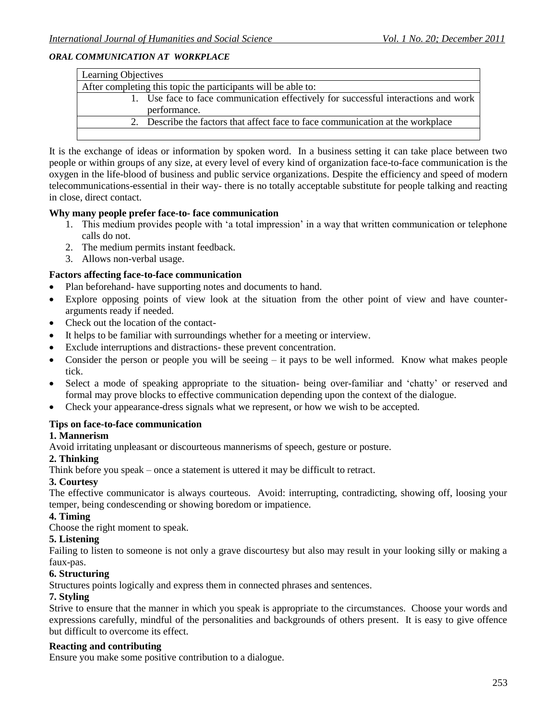### *ORAL COMMUNICATION AT WORKPLACE*

| Learning Objectives                                                                |  |  |  |
|------------------------------------------------------------------------------------|--|--|--|
| After completing this topic the participants will be able to:                      |  |  |  |
| 1. Use face to face communication effectively for successful interactions and work |  |  |  |
| performance.                                                                       |  |  |  |
| 2. Describe the factors that affect face to face communication at the workplace    |  |  |  |
|                                                                                    |  |  |  |

It is the exchange of ideas or information by spoken word. In a business setting it can take place between two people or within groups of any size, at every level of every kind of organization face-to-face communication is the oxygen in the life-blood of business and public service organizations. Despite the efficiency and speed of modern telecommunications-essential in their way- there is no totally acceptable substitute for people talking and reacting in close, direct contact.

#### **Why many people prefer face-to- face communication**

- 1. This medium provides people with "a total impression" in a way that written communication or telephone calls do not.
- 2. The medium permits instant feedback.
- 3. Allows non-verbal usage.

#### **Factors affecting face-to-face communication**

- Plan beforehand- have supporting notes and documents to hand.
- Explore opposing points of view look at the situation from the other point of view and have counterarguments ready if needed.
- Check out the location of the contact-
- It helps to be familiar with surroundings whether for a meeting or interview.
- Exclude interruptions and distractions- these prevent concentration.
- Consider the person or people you will be seeing  $-$  it pays to be well informed. Know what makes people tick.
- Select a mode of speaking appropriate to the situation- being over-familiar and 'chatty' or reserved and formal may prove blocks to effective communication depending upon the context of the dialogue.
- Check your appearance-dress signals what we represent, or how we wish to be accepted.

#### **Tips on face-to-face communication**

#### **1. Mannerism**

Avoid irritating unpleasant or discourteous mannerisms of speech, gesture or posture.

#### **2. Thinking**

Think before you speak – once a statement is uttered it may be difficult to retract.

#### **3. Courtesy**

The effective communicator is always courteous. Avoid: interrupting, contradicting, showing off, loosing your temper, being condescending or showing boredom or impatience.

#### **4. Timing**

Choose the right moment to speak.

#### **5. Listening**

Failing to listen to someone is not only a grave discourtesy but also may result in your looking silly or making a faux-pas.

#### **6. Structuring**

Structures points logically and express them in connected phrases and sentences.

#### **7. Styling**

Strive to ensure that the manner in which you speak is appropriate to the circumstances. Choose your words and expressions carefully, mindful of the personalities and backgrounds of others present. It is easy to give offence but difficult to overcome its effect.

#### **Reacting and contributing**

Ensure you make some positive contribution to a dialogue.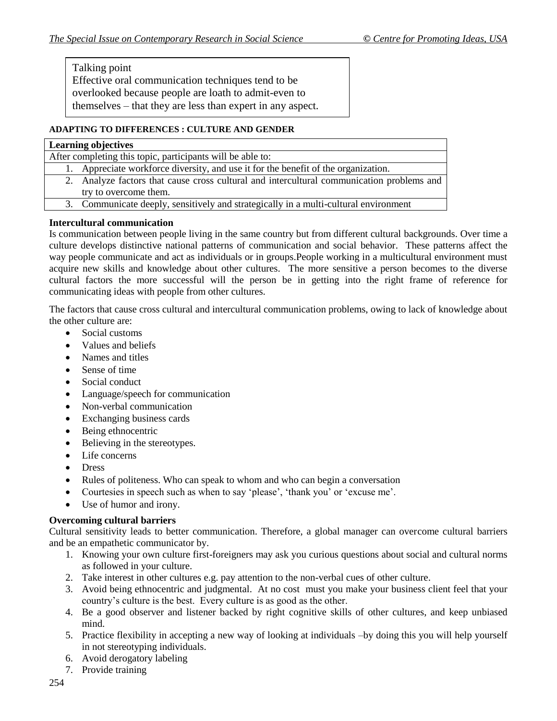Talking point

Effective oral communication techniques tend to be overlooked because people are loath to admit-even to themselves – that they are less than expert in any aspect.

## **ADAPTING TO DIFFERENCES : CULTURE AND GENDER**

# **Learning objectives** After completing this topic, participants will be able to: 1. Appreciate workforce diversity, and use it for the benefit of the organization. 2. Analyze factors that cause cross cultural and intercultural communication problems and try to overcome them.

3. Communicate deeply, sensitively and strategically in a multi-cultural environment

# **Intercultural communication**

Is communication between people living in the same country but from different cultural backgrounds. Over time a culture develops distinctive national patterns of communication and social behavior. These patterns affect the way people communicate and act as individuals or in groups.People working in a multicultural environment must acquire new skills and knowledge about other cultures. The more sensitive a person becomes to the diverse cultural factors the more successful will the person be in getting into the right frame of reference for communicating ideas with people from other cultures.

The factors that cause cross cultural and intercultural communication problems, owing to lack of knowledge about the other culture are:

- Social customs
- Values and beliefs
- Names and titles
- Sense of time
- Social conduct
- Language/speech for communication
- Non-verbal communication
- Exchanging business cards
- Being ethnocentric
- Believing in the stereotypes.
- Life concerns
- Dress
- Rules of politeness. Who can speak to whom and who can begin a conversation
- Courtesies in speech such as when to say 'please', 'thank you' or 'excuse me'.
- Use of humor and irony.

# **Overcoming cultural barriers**

Cultural sensitivity leads to better communication. Therefore, a global manager can overcome cultural barriers and be an empathetic communicator by.

- 1. Knowing your own culture first-foreigners may ask you curious questions about social and cultural norms as followed in your culture.
- 2. Take interest in other cultures e.g. pay attention to the non-verbal cues of other culture.
- 3. Avoid being ethnocentric and judgmental. At no cost must you make your business client feel that your country"s culture is the best. Every culture is as good as the other.
- 4. Be a good observer and listener backed by right cognitive skills of other cultures, and keep unbiased mind.
- 5. Practice flexibility in accepting a new way of looking at individuals –by doing this you will help yourself in not stereotyping individuals.
- 6. Avoid derogatory labeling
- 7. Provide training